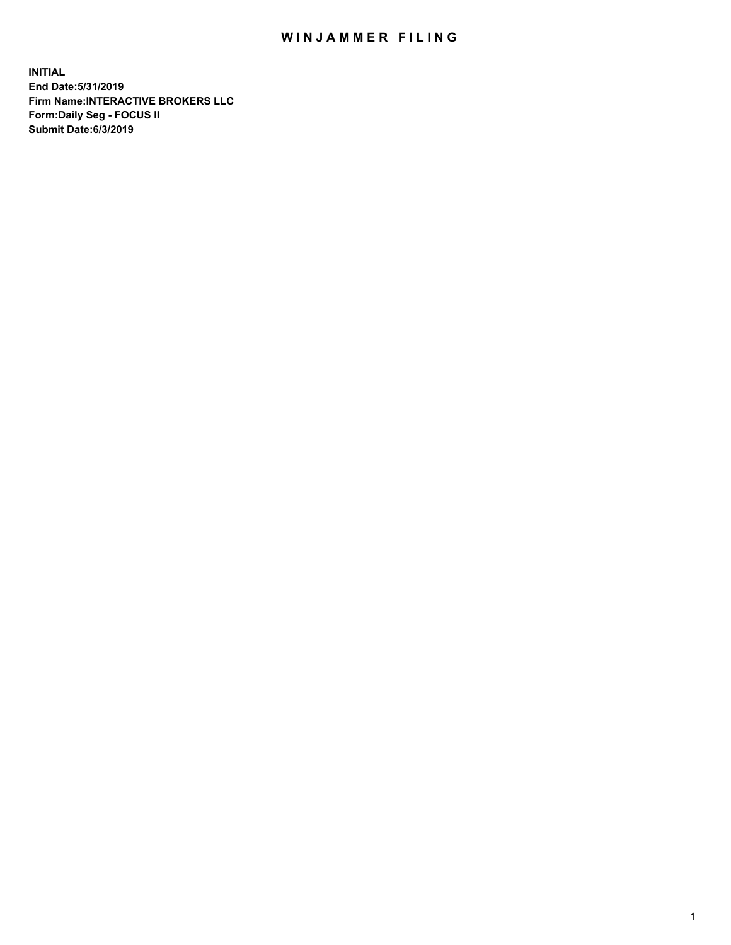## WIN JAMMER FILING

**INITIAL End Date:5/31/2019 Firm Name:INTERACTIVE BROKERS LLC Form:Daily Seg - FOCUS II Submit Date:6/3/2019**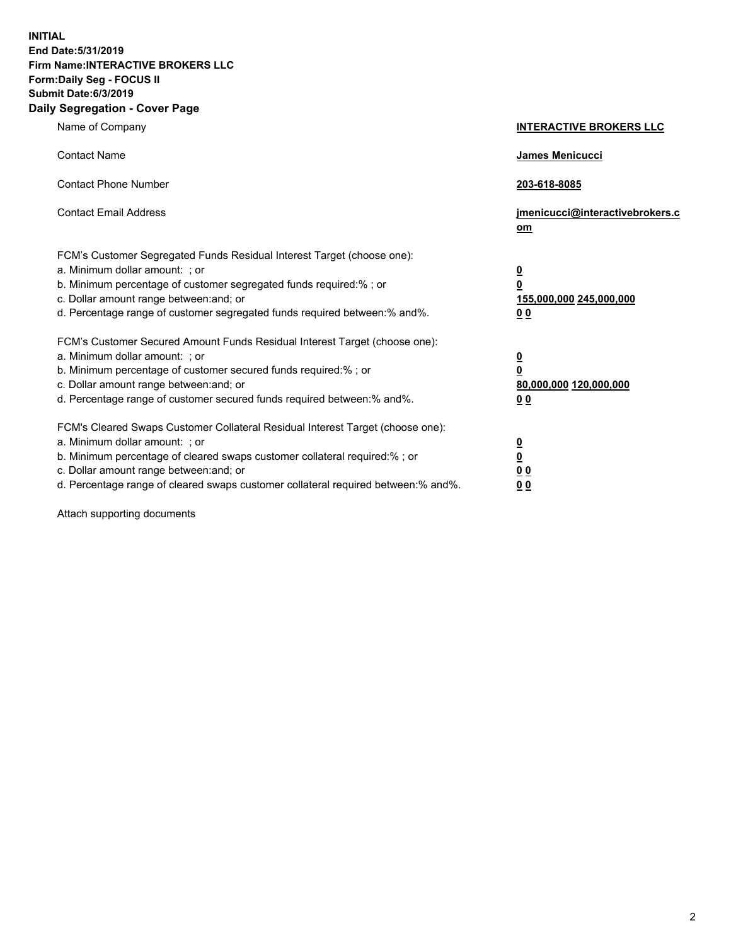**INITIAL End Date:5/31/2019 Firm Name:INTERACTIVE BROKERS LLC Form:Daily Seg - FOCUS II Submit Date:6/3/2019 Daily Segregation - Cover Page**

| Name of Company                                                                                                                                                                                                                                                                                                                | <b>INTERACTIVE BROKERS LLC</b>                                                                  |
|--------------------------------------------------------------------------------------------------------------------------------------------------------------------------------------------------------------------------------------------------------------------------------------------------------------------------------|-------------------------------------------------------------------------------------------------|
| <b>Contact Name</b>                                                                                                                                                                                                                                                                                                            | <b>James Menicucci</b>                                                                          |
| <b>Contact Phone Number</b>                                                                                                                                                                                                                                                                                                    | 203-618-8085                                                                                    |
| <b>Contact Email Address</b>                                                                                                                                                                                                                                                                                                   | jmenicucci@interactivebrokers.c<br>om                                                           |
| FCM's Customer Segregated Funds Residual Interest Target (choose one):<br>a. Minimum dollar amount: ; or<br>b. Minimum percentage of customer segregated funds required:% ; or<br>c. Dollar amount range between: and; or<br>d. Percentage range of customer segregated funds required between:% and%.                         | $\overline{\mathbf{0}}$<br>$\overline{\mathbf{0}}$<br>155,000,000 245,000,000<br>0 <sub>0</sub> |
| FCM's Customer Secured Amount Funds Residual Interest Target (choose one):<br>a. Minimum dollar amount: ; or<br>b. Minimum percentage of customer secured funds required:%; or<br>c. Dollar amount range between: and; or<br>d. Percentage range of customer secured funds required between:% and%.                            | $\frac{0}{0}$<br>80,000,000 120,000,000<br>0 <sub>0</sub>                                       |
| FCM's Cleared Swaps Customer Collateral Residual Interest Target (choose one):<br>a. Minimum dollar amount: ; or<br>b. Minimum percentage of cleared swaps customer collateral required:% ; or<br>c. Dollar amount range between: and; or<br>d. Percentage range of cleared swaps customer collateral required between:% and%. | $\frac{0}{0}$<br>0 <sub>0</sub><br>0 <sub>0</sub>                                               |

Attach supporting documents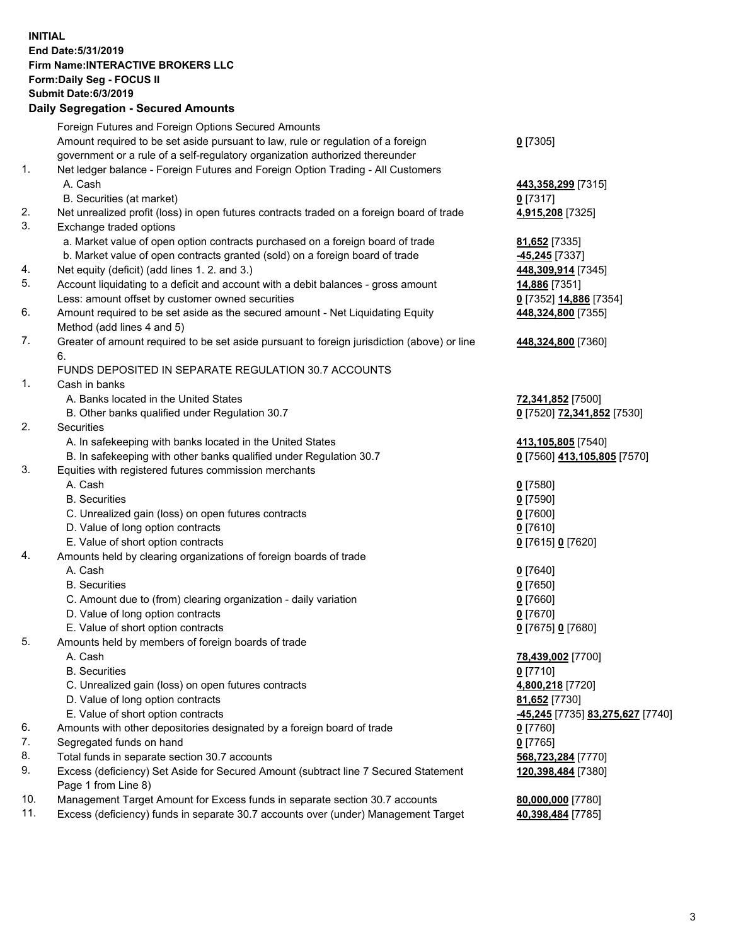## **INITIAL End Date:5/31/2019 Firm Name:INTERACTIVE BROKERS LLC Form:Daily Seg - FOCUS II Submit Date:6/3/2019 Daily Segregation - Secured Amounts**

| Foreign Futures and Foreign Options Secured Amounts                         |                                                                                                                                                                                                                                                                                                                                                                                                                                                                                                                                                                                                                                                                                                                                                                                                                                                                                                                                                                                                                                                                                                                                                                                                                                                                                                                                                                                                                                                                                                                                                                                                                                                                                                                                                                                                                                                                                                                                                                 |
|-----------------------------------------------------------------------------|-----------------------------------------------------------------------------------------------------------------------------------------------------------------------------------------------------------------------------------------------------------------------------------------------------------------------------------------------------------------------------------------------------------------------------------------------------------------------------------------------------------------------------------------------------------------------------------------------------------------------------------------------------------------------------------------------------------------------------------------------------------------------------------------------------------------------------------------------------------------------------------------------------------------------------------------------------------------------------------------------------------------------------------------------------------------------------------------------------------------------------------------------------------------------------------------------------------------------------------------------------------------------------------------------------------------------------------------------------------------------------------------------------------------------------------------------------------------------------------------------------------------------------------------------------------------------------------------------------------------------------------------------------------------------------------------------------------------------------------------------------------------------------------------------------------------------------------------------------------------------------------------------------------------------------------------------------------------|
|                                                                             | $0$ [7305]                                                                                                                                                                                                                                                                                                                                                                                                                                                                                                                                                                                                                                                                                                                                                                                                                                                                                                                                                                                                                                                                                                                                                                                                                                                                                                                                                                                                                                                                                                                                                                                                                                                                                                                                                                                                                                                                                                                                                      |
|                                                                             |                                                                                                                                                                                                                                                                                                                                                                                                                                                                                                                                                                                                                                                                                                                                                                                                                                                                                                                                                                                                                                                                                                                                                                                                                                                                                                                                                                                                                                                                                                                                                                                                                                                                                                                                                                                                                                                                                                                                                                 |
|                                                                             |                                                                                                                                                                                                                                                                                                                                                                                                                                                                                                                                                                                                                                                                                                                                                                                                                                                                                                                                                                                                                                                                                                                                                                                                                                                                                                                                                                                                                                                                                                                                                                                                                                                                                                                                                                                                                                                                                                                                                                 |
|                                                                             | 443,358,299 [7315]                                                                                                                                                                                                                                                                                                                                                                                                                                                                                                                                                                                                                                                                                                                                                                                                                                                                                                                                                                                                                                                                                                                                                                                                                                                                                                                                                                                                                                                                                                                                                                                                                                                                                                                                                                                                                                                                                                                                              |
|                                                                             | $0$ [7317]                                                                                                                                                                                                                                                                                                                                                                                                                                                                                                                                                                                                                                                                                                                                                                                                                                                                                                                                                                                                                                                                                                                                                                                                                                                                                                                                                                                                                                                                                                                                                                                                                                                                                                                                                                                                                                                                                                                                                      |
|                                                                             | 4,915,208 [7325]                                                                                                                                                                                                                                                                                                                                                                                                                                                                                                                                                                                                                                                                                                                                                                                                                                                                                                                                                                                                                                                                                                                                                                                                                                                                                                                                                                                                                                                                                                                                                                                                                                                                                                                                                                                                                                                                                                                                                |
|                                                                             |                                                                                                                                                                                                                                                                                                                                                                                                                                                                                                                                                                                                                                                                                                                                                                                                                                                                                                                                                                                                                                                                                                                                                                                                                                                                                                                                                                                                                                                                                                                                                                                                                                                                                                                                                                                                                                                                                                                                                                 |
|                                                                             | 81,652 [7335]                                                                                                                                                                                                                                                                                                                                                                                                                                                                                                                                                                                                                                                                                                                                                                                                                                                                                                                                                                                                                                                                                                                                                                                                                                                                                                                                                                                                                                                                                                                                                                                                                                                                                                                                                                                                                                                                                                                                                   |
|                                                                             | -45,245 [7337]                                                                                                                                                                                                                                                                                                                                                                                                                                                                                                                                                                                                                                                                                                                                                                                                                                                                                                                                                                                                                                                                                                                                                                                                                                                                                                                                                                                                                                                                                                                                                                                                                                                                                                                                                                                                                                                                                                                                                  |
|                                                                             | 448,309,914 [7345]                                                                                                                                                                                                                                                                                                                                                                                                                                                                                                                                                                                                                                                                                                                                                                                                                                                                                                                                                                                                                                                                                                                                                                                                                                                                                                                                                                                                                                                                                                                                                                                                                                                                                                                                                                                                                                                                                                                                              |
|                                                                             | 14,886 [7351]                                                                                                                                                                                                                                                                                                                                                                                                                                                                                                                                                                                                                                                                                                                                                                                                                                                                                                                                                                                                                                                                                                                                                                                                                                                                                                                                                                                                                                                                                                                                                                                                                                                                                                                                                                                                                                                                                                                                                   |
|                                                                             | 0 [7352] 14,886 [7354]                                                                                                                                                                                                                                                                                                                                                                                                                                                                                                                                                                                                                                                                                                                                                                                                                                                                                                                                                                                                                                                                                                                                                                                                                                                                                                                                                                                                                                                                                                                                                                                                                                                                                                                                                                                                                                                                                                                                          |
|                                                                             | 448,324,800 [7355]                                                                                                                                                                                                                                                                                                                                                                                                                                                                                                                                                                                                                                                                                                                                                                                                                                                                                                                                                                                                                                                                                                                                                                                                                                                                                                                                                                                                                                                                                                                                                                                                                                                                                                                                                                                                                                                                                                                                              |
|                                                                             |                                                                                                                                                                                                                                                                                                                                                                                                                                                                                                                                                                                                                                                                                                                                                                                                                                                                                                                                                                                                                                                                                                                                                                                                                                                                                                                                                                                                                                                                                                                                                                                                                                                                                                                                                                                                                                                                                                                                                                 |
|                                                                             | 448,324,800 [7360]                                                                                                                                                                                                                                                                                                                                                                                                                                                                                                                                                                                                                                                                                                                                                                                                                                                                                                                                                                                                                                                                                                                                                                                                                                                                                                                                                                                                                                                                                                                                                                                                                                                                                                                                                                                                                                                                                                                                              |
|                                                                             |                                                                                                                                                                                                                                                                                                                                                                                                                                                                                                                                                                                                                                                                                                                                                                                                                                                                                                                                                                                                                                                                                                                                                                                                                                                                                                                                                                                                                                                                                                                                                                                                                                                                                                                                                                                                                                                                                                                                                                 |
|                                                                             |                                                                                                                                                                                                                                                                                                                                                                                                                                                                                                                                                                                                                                                                                                                                                                                                                                                                                                                                                                                                                                                                                                                                                                                                                                                                                                                                                                                                                                                                                                                                                                                                                                                                                                                                                                                                                                                                                                                                                                 |
|                                                                             | 72,341,852 [7500]                                                                                                                                                                                                                                                                                                                                                                                                                                                                                                                                                                                                                                                                                                                                                                                                                                                                                                                                                                                                                                                                                                                                                                                                                                                                                                                                                                                                                                                                                                                                                                                                                                                                                                                                                                                                                                                                                                                                               |
|                                                                             | 0 [7520] 72,341,852 [7530]                                                                                                                                                                                                                                                                                                                                                                                                                                                                                                                                                                                                                                                                                                                                                                                                                                                                                                                                                                                                                                                                                                                                                                                                                                                                                                                                                                                                                                                                                                                                                                                                                                                                                                                                                                                                                                                                                                                                      |
|                                                                             |                                                                                                                                                                                                                                                                                                                                                                                                                                                                                                                                                                                                                                                                                                                                                                                                                                                                                                                                                                                                                                                                                                                                                                                                                                                                                                                                                                                                                                                                                                                                                                                                                                                                                                                                                                                                                                                                                                                                                                 |
|                                                                             | 413,105,805 [7540]                                                                                                                                                                                                                                                                                                                                                                                                                                                                                                                                                                                                                                                                                                                                                                                                                                                                                                                                                                                                                                                                                                                                                                                                                                                                                                                                                                                                                                                                                                                                                                                                                                                                                                                                                                                                                                                                                                                                              |
|                                                                             | 0 [7560] 413,105,805 [7570]                                                                                                                                                                                                                                                                                                                                                                                                                                                                                                                                                                                                                                                                                                                                                                                                                                                                                                                                                                                                                                                                                                                                                                                                                                                                                                                                                                                                                                                                                                                                                                                                                                                                                                                                                                                                                                                                                                                                     |
|                                                                             |                                                                                                                                                                                                                                                                                                                                                                                                                                                                                                                                                                                                                                                                                                                                                                                                                                                                                                                                                                                                                                                                                                                                                                                                                                                                                                                                                                                                                                                                                                                                                                                                                                                                                                                                                                                                                                                                                                                                                                 |
|                                                                             | $0$ [7580]                                                                                                                                                                                                                                                                                                                                                                                                                                                                                                                                                                                                                                                                                                                                                                                                                                                                                                                                                                                                                                                                                                                                                                                                                                                                                                                                                                                                                                                                                                                                                                                                                                                                                                                                                                                                                                                                                                                                                      |
|                                                                             | $0$ [7590]                                                                                                                                                                                                                                                                                                                                                                                                                                                                                                                                                                                                                                                                                                                                                                                                                                                                                                                                                                                                                                                                                                                                                                                                                                                                                                                                                                                                                                                                                                                                                                                                                                                                                                                                                                                                                                                                                                                                                      |
|                                                                             | $0$ [7600]                                                                                                                                                                                                                                                                                                                                                                                                                                                                                                                                                                                                                                                                                                                                                                                                                                                                                                                                                                                                                                                                                                                                                                                                                                                                                                                                                                                                                                                                                                                                                                                                                                                                                                                                                                                                                                                                                                                                                      |
|                                                                             | 0 [7610]                                                                                                                                                                                                                                                                                                                                                                                                                                                                                                                                                                                                                                                                                                                                                                                                                                                                                                                                                                                                                                                                                                                                                                                                                                                                                                                                                                                                                                                                                                                                                                                                                                                                                                                                                                                                                                                                                                                                                        |
|                                                                             | 0 [7615] 0 [7620]                                                                                                                                                                                                                                                                                                                                                                                                                                                                                                                                                                                                                                                                                                                                                                                                                                                                                                                                                                                                                                                                                                                                                                                                                                                                                                                                                                                                                                                                                                                                                                                                                                                                                                                                                                                                                                                                                                                                               |
|                                                                             |                                                                                                                                                                                                                                                                                                                                                                                                                                                                                                                                                                                                                                                                                                                                                                                                                                                                                                                                                                                                                                                                                                                                                                                                                                                                                                                                                                                                                                                                                                                                                                                                                                                                                                                                                                                                                                                                                                                                                                 |
| A. Cash                                                                     | $0$ [7640]                                                                                                                                                                                                                                                                                                                                                                                                                                                                                                                                                                                                                                                                                                                                                                                                                                                                                                                                                                                                                                                                                                                                                                                                                                                                                                                                                                                                                                                                                                                                                                                                                                                                                                                                                                                                                                                                                                                                                      |
| <b>B.</b> Securities                                                        | $0$ [7650]                                                                                                                                                                                                                                                                                                                                                                                                                                                                                                                                                                                                                                                                                                                                                                                                                                                                                                                                                                                                                                                                                                                                                                                                                                                                                                                                                                                                                                                                                                                                                                                                                                                                                                                                                                                                                                                                                                                                                      |
| C. Amount due to (from) clearing organization - daily variation             | $0$ [7660]                                                                                                                                                                                                                                                                                                                                                                                                                                                                                                                                                                                                                                                                                                                                                                                                                                                                                                                                                                                                                                                                                                                                                                                                                                                                                                                                                                                                                                                                                                                                                                                                                                                                                                                                                                                                                                                                                                                                                      |
| D. Value of long option contracts                                           | $0$ [7670]                                                                                                                                                                                                                                                                                                                                                                                                                                                                                                                                                                                                                                                                                                                                                                                                                                                                                                                                                                                                                                                                                                                                                                                                                                                                                                                                                                                                                                                                                                                                                                                                                                                                                                                                                                                                                                                                                                                                                      |
| E. Value of short option contracts                                          | 0 [7675] 0 [7680]                                                                                                                                                                                                                                                                                                                                                                                                                                                                                                                                                                                                                                                                                                                                                                                                                                                                                                                                                                                                                                                                                                                                                                                                                                                                                                                                                                                                                                                                                                                                                                                                                                                                                                                                                                                                                                                                                                                                               |
| Amounts held by members of foreign boards of trade                          |                                                                                                                                                                                                                                                                                                                                                                                                                                                                                                                                                                                                                                                                                                                                                                                                                                                                                                                                                                                                                                                                                                                                                                                                                                                                                                                                                                                                                                                                                                                                                                                                                                                                                                                                                                                                                                                                                                                                                                 |
| A. Cash                                                                     | 78,439,002 [7700]                                                                                                                                                                                                                                                                                                                                                                                                                                                                                                                                                                                                                                                                                                                                                                                                                                                                                                                                                                                                                                                                                                                                                                                                                                                                                                                                                                                                                                                                                                                                                                                                                                                                                                                                                                                                                                                                                                                                               |
| <b>B.</b> Securities                                                        | $0$ [7710]                                                                                                                                                                                                                                                                                                                                                                                                                                                                                                                                                                                                                                                                                                                                                                                                                                                                                                                                                                                                                                                                                                                                                                                                                                                                                                                                                                                                                                                                                                                                                                                                                                                                                                                                                                                                                                                                                                                                                      |
| C. Unrealized gain (loss) on open futures contracts                         | 4,800,218 [7720]                                                                                                                                                                                                                                                                                                                                                                                                                                                                                                                                                                                                                                                                                                                                                                                                                                                                                                                                                                                                                                                                                                                                                                                                                                                                                                                                                                                                                                                                                                                                                                                                                                                                                                                                                                                                                                                                                                                                                |
| D. Value of long option contracts                                           | 81,652 [7730]                                                                                                                                                                                                                                                                                                                                                                                                                                                                                                                                                                                                                                                                                                                                                                                                                                                                                                                                                                                                                                                                                                                                                                                                                                                                                                                                                                                                                                                                                                                                                                                                                                                                                                                                                                                                                                                                                                                                                   |
| E. Value of short option contracts                                          | <mark>-45,245</mark> [7735] <u>83,275,627</u> [7740]                                                                                                                                                                                                                                                                                                                                                                                                                                                                                                                                                                                                                                                                                                                                                                                                                                                                                                                                                                                                                                                                                                                                                                                                                                                                                                                                                                                                                                                                                                                                                                                                                                                                                                                                                                                                                                                                                                            |
|                                                                             | 0 [7760]                                                                                                                                                                                                                                                                                                                                                                                                                                                                                                                                                                                                                                                                                                                                                                                                                                                                                                                                                                                                                                                                                                                                                                                                                                                                                                                                                                                                                                                                                                                                                                                                                                                                                                                                                                                                                                                                                                                                                        |
|                                                                             | $0$ [7765]                                                                                                                                                                                                                                                                                                                                                                                                                                                                                                                                                                                                                                                                                                                                                                                                                                                                                                                                                                                                                                                                                                                                                                                                                                                                                                                                                                                                                                                                                                                                                                                                                                                                                                                                                                                                                                                                                                                                                      |
|                                                                             | 568,723,284 [7770]                                                                                                                                                                                                                                                                                                                                                                                                                                                                                                                                                                                                                                                                                                                                                                                                                                                                                                                                                                                                                                                                                                                                                                                                                                                                                                                                                                                                                                                                                                                                                                                                                                                                                                                                                                                                                                                                                                                                              |
| Page 1 from Line 8)                                                         | 120,398,484 [7380]                                                                                                                                                                                                                                                                                                                                                                                                                                                                                                                                                                                                                                                                                                                                                                                                                                                                                                                                                                                                                                                                                                                                                                                                                                                                                                                                                                                                                                                                                                                                                                                                                                                                                                                                                                                                                                                                                                                                              |
| Management Target Amount for Excess funds in separate section 30.7 accounts | 80,000,000 [7780]                                                                                                                                                                                                                                                                                                                                                                                                                                                                                                                                                                                                                                                                                                                                                                                                                                                                                                                                                                                                                                                                                                                                                                                                                                                                                                                                                                                                                                                                                                                                                                                                                                                                                                                                                                                                                                                                                                                                               |
|                                                                             | 40,398,484 [7785]                                                                                                                                                                                                                                                                                                                                                                                                                                                                                                                                                                                                                                                                                                                                                                                                                                                                                                                                                                                                                                                                                                                                                                                                                                                                                                                                                                                                                                                                                                                                                                                                                                                                                                                                                                                                                                                                                                                                               |
|                                                                             | Amount required to be set aside pursuant to law, rule or regulation of a foreign<br>government or a rule of a self-regulatory organization authorized thereunder<br>Net ledger balance - Foreign Futures and Foreign Option Trading - All Customers<br>A. Cash<br>B. Securities (at market)<br>Net unrealized profit (loss) in open futures contracts traded on a foreign board of trade<br>Exchange traded options<br>a. Market value of open option contracts purchased on a foreign board of trade<br>b. Market value of open contracts granted (sold) on a foreign board of trade<br>Net equity (deficit) (add lines 1.2. and 3.)<br>Account liquidating to a deficit and account with a debit balances - gross amount<br>Less: amount offset by customer owned securities<br>Amount required to be set aside as the secured amount - Net Liquidating Equity<br>Method (add lines 4 and 5)<br>Greater of amount required to be set aside pursuant to foreign jurisdiction (above) or line<br>6.<br>FUNDS DEPOSITED IN SEPARATE REGULATION 30.7 ACCOUNTS<br>Cash in banks<br>A. Banks located in the United States<br>B. Other banks qualified under Regulation 30.7<br>Securities<br>A. In safekeeping with banks located in the United States<br>B. In safekeeping with other banks qualified under Regulation 30.7<br>Equities with registered futures commission merchants<br>A. Cash<br><b>B.</b> Securities<br>C. Unrealized gain (loss) on open futures contracts<br>D. Value of long option contracts<br>E. Value of short option contracts<br>Amounts held by clearing organizations of foreign boards of trade<br>Amounts with other depositories designated by a foreign board of trade<br>Segregated funds on hand<br>Total funds in separate section 30.7 accounts<br>Excess (deficiency) Set Aside for Secured Amount (subtract line 7 Secured Statement<br>Excess (deficiency) funds in separate 30.7 accounts over (under) Management Target |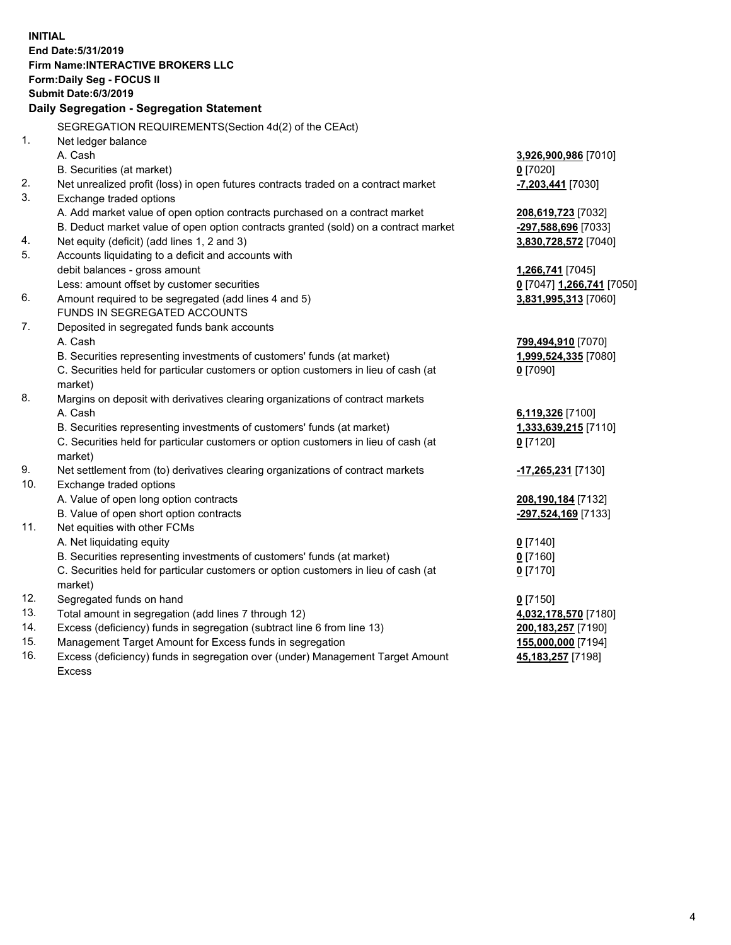**INITIAL End Date:5/31/2019 Firm Name:INTERACTIVE BROKERS LLC Form:Daily Seg - FOCUS II Submit Date:6/3/2019 Daily Segregation - Segregation Statement** SEGREGATION REQUIREMENTS(Section 4d(2) of the CEAct) 1. Net ledger balance A. Cash **3,926,900,986** [7010] B. Securities (at market) **0** [7020] 2. Net unrealized profit (loss) in open futures contracts traded on a contract market **-7,203,441** [7030] 3. Exchange traded options A. Add market value of open option contracts purchased on a contract market **208,619,723** [7032] B. Deduct market value of open option contracts granted (sold) on a contract market **-297,588,696** [7033] 4. Net equity (deficit) (add lines 1, 2 and 3) **3,830,728,572** [7040] 5. Accounts liquidating to a deficit and accounts with debit balances - gross amount **1,266,741** [7045] Less: amount offset by customer securities **0** [7047] **1,266,741** [7050] 6. Amount required to be segregated (add lines 4 and 5) **3,831,995,313** [7060] FUNDS IN SEGREGATED ACCOUNTS 7. Deposited in segregated funds bank accounts A. Cash **799,494,910** [7070] B. Securities representing investments of customers' funds (at market) **1,999,524,335** [7080] C. Securities held for particular customers or option customers in lieu of cash (at market) **0** [7090] 8. Margins on deposit with derivatives clearing organizations of contract markets A. Cash **6,119,326** [7100] B. Securities representing investments of customers' funds (at market) **1,333,639,215** [7110] C. Securities held for particular customers or option customers in lieu of cash (at market) **0** [7120] 9. Net settlement from (to) derivatives clearing organizations of contract markets **-17,265,231** [7130] 10. Exchange traded options A. Value of open long option contracts **208,190,184** [7132] B. Value of open short option contracts **-297,524,169** [7133] 11. Net equities with other FCMs A. Net liquidating equity **0** [7140] B. Securities representing investments of customers' funds (at market) **0** [7160] C. Securities held for particular customers or option customers in lieu of cash (at market) **0** [7170] 12. Segregated funds on hand **0** [7150] 13. Total amount in segregation (add lines 7 through 12) **4,032,178,570** [7180] 14. Excess (deficiency) funds in segregation (subtract line 6 from line 13) **200,183,257** [7190] 15. Management Target Amount for Excess funds in segregation **155,000,000** [7194] **45,183,257** [7198]

16. Excess (deficiency) funds in segregation over (under) Management Target Amount Excess